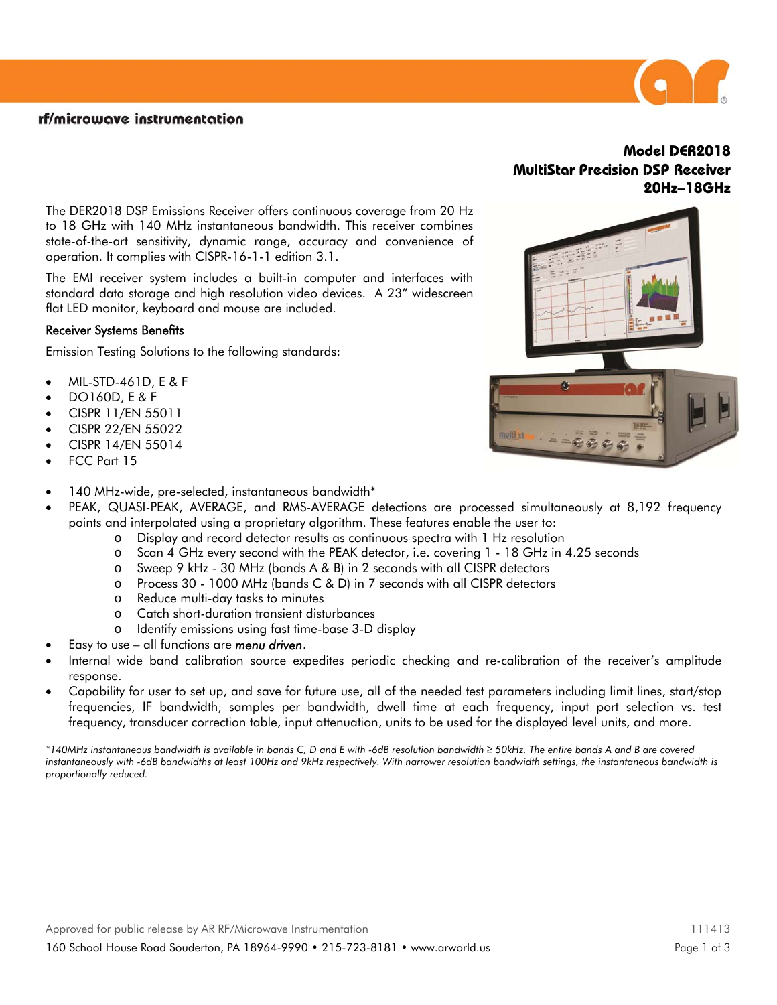## rf/microwave instrumentation

The DER2018 DSP Emissions Receiver offers continuous coverage from 20 Hz to 18 GHz with 140 MHz instantaneous bandwidth. This receiver combines state-of-the-art sensitivity, dynamic range, accuracy and convenience of operation. It complies with CISPR-16-1-1 edition 3.1.

The EMI receiver system includes a built-in computer and interfaces with standard data storage and high resolution video devices. A 23" widescreen flat LED monitor, keyboard and mouse are included.

## Receiver Systems Benefits

Emission Testing Solutions to the following standards:

- MIL-STD-461D, E & F
- DO160D, E & F
- CISPR 11/EN 55011
- CISPR 22/EN 55022
- CISPR 14/EN 55014
- FCC Part 15
- 140 MHz-wide, pre-selected, instantaneous bandwidth\*
- PEAK, QUASI-PEAK, AVERAGE, and RMS-AVERAGE detections are processed simultaneously at 8,192 frequency points and interpolated using a proprietary algorithm. These features enable the user to:
	- o Display and record detector results as continuous spectra with 1 Hz resolution
	- o Scan 4 GHz every second with the PEAK detector, i.e. covering 1 18 GHz in 4.25 seconds
	- o Sweep 9 kHz 30 MHz (bands A & B) in 2 seconds with all CISPR detectors
	- o Process 30 1000 MHz (bands C & D) in 7 seconds with all CISPR detectors
	- o Reduce multi-day tasks to minutes
	- o Catch short-duration transient disturbances
	- o Identify emissions using fast time-base 3-D display
- Easy to use all functions are *menu driven*.
- Internal wide band calibration source expedites periodic checking and re-calibration of the receiver's amplitude response.
- Capability for user to set up, and save for future use, all of the needed test parameters including limit lines, start/stop frequencies, IF bandwidth, samples per bandwidth, dwell time at each frequency, input port selection vs. test frequency, transducer correction table, input attenuation, units to be used for the displayed level units, and more.

*\*140MHz instantaneous bandwidth is available in bands C, D and E with -6dB resolution bandwidth ≥ 50kHz. The entire bands A and B are covered instantaneously with -6dB bandwidths at least 100Hz and 9kHz respectively. With narrower resolution bandwidth settings, the instantaneous bandwidth is proportionally reduced.* 

# **Model DER2018 MultiStar Precision DSP Receiver 20Hz–18GHz**





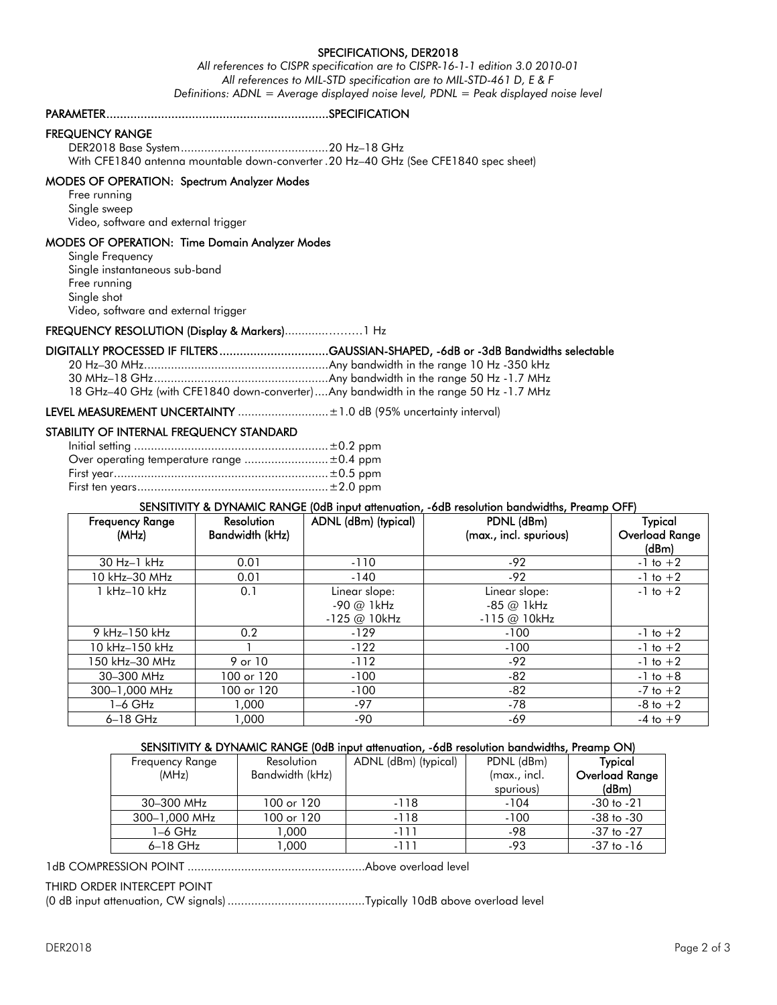## SPECIFICATIONS, DER2018

*All references to CISPR specification are to CISPR-16-1-1 edition 3.0 2010-01 All references to MIL-STD specification are to MIL-STD-461 D, E & F Definitions: ADNL = Average displayed noise level, PDNL = Peak displayed noise level* 

#### PARAMETER .................................................................SPECIFICATION

#### FREQUENCY RANGE

 DER2018 Base System ............................................ 20 Hz–18 GHz With CFE1840 antenna mountable down-converter . 20 Hz–40 GHz (See CFE1840 spec sheet)

#### MODES OF OPERATION: Spectrum Analyzer Modes

 Free running Single sweep Video, software and external trigger

## MODES OF OPERATION: Time Domain Analyzer Modes

 Single Frequency Single instantaneous sub-band Free running Single shot Video, software and external trigger

#### FREQUENCY RESOLUTION (Display & Markers)............. ………1 Hz

### DIGITALLY PROCESSED IF FILTERS ................................GAUSSIAN-SHAPED, -6dB or -3dB Bandwidths selectable

 20 Hz–30 MHz ....................................................... Any bandwidth in the range 10 Hz -350 kHz 30 MHz–18 GHz .................................................... Any bandwidth in the range 50 Hz -1.7 MHz 18 GHz–40 GHz (with CFE1840 down-converter) .... Any bandwidth in the range 50 Hz -1.7 MHz

LEVEL MEASUREMENT UNCERTAINTY ........................... ±1.0 dB (95% uncertainty interval)

#### STABILITY OF INTERNAL FREQUENCY STANDARD

#### SENSITIVITY & DYNAMIC RANGE (0dB input attenuation, -6dB resolution bandwidths, Preamp OFF)

| <b>Frequency Range</b><br>(MHz) | <b>Resolution</b><br>Bandwidth (kHz) | ADNL (dBm) (typical)                             | PDNL (dBm)<br>(max., incl. spurious)             | <b>Typical</b><br>Overload Range<br>(dBm) |
|---------------------------------|--------------------------------------|--------------------------------------------------|--------------------------------------------------|-------------------------------------------|
| 30 Hz-1 kHz                     | 0.01                                 | $-110$                                           | $-92$                                            | $-1$ to $+2$                              |
| 10 kHz-30 MHz                   | 0.01                                 | $-140$                                           | $-92$                                            | $-1$ to $+2$                              |
| 1 kHz-10 kHz                    | 0.1                                  | Linear slope:<br>$-90$ @ 1 kHz<br>$-125 @ 10kHz$ | Linear slope:<br>$-85$ @ 1 kHz<br>$-115 @ 10kHz$ | $-1$ to $+2$                              |
| 9 kHz-150 kHz                   | 0.2                                  | $-129$                                           | $-100$                                           | $-1$ to $+2$                              |
| 10 kHz-150 kHz                  |                                      | $-122$                                           | $-100$                                           | $-1$ to $+2$                              |
| 150 kHz–30 MHz                  | 9 or 10                              | $-112$                                           | $-92$                                            | $-1$ to $+2$                              |
| 30-300 MHz                      | 100 or 120                           | $-100$                                           | $-82$                                            | $-1$ to $+8$                              |
| 300-1,000 MHz                   | 100 or 120                           | $-100$                                           | $-82$                                            | $-7$ to $+2$                              |
| 1–6 GHz                         | 1,000                                | -97                                              | -78                                              | $-8$ to $+2$                              |
| $6-18$ GHz                      | 1.000                                | -90                                              | -69                                              | $-4$ to $+9$                              |

#### SENSITIVITY & DYNAMIC RANGE (0dB input attenuation, -6dB resolution bandwidths, Preamp ON)

| Frequency Range | Resolution      | ADNL (dBm) (typical) | PDNL (dBm)   | <b>Typical</b>        |
|-----------------|-----------------|----------------------|--------------|-----------------------|
| (MHz)           | Bandwidth (kHz) |                      | (max., incl. | <b>Overload Range</b> |
|                 |                 |                      | spurious)    | (dBm)                 |
| 30–300 MHz      | 100 or 120      | $-118$               | $-104$       | $-30$ to $-21$        |
| 300-1,000 MHz   | 100 or 120      | $-118$               | $-100$       | $-38$ to $-30$        |
| 1–6 GHz         | 000. ا          | -111                 | -98          | $-37$ to $-27$        |
| 6-18 GHz        | 000.1           | -111                 | -93          | $-37$ to $-16$        |

1dB COMPRESSION POINT ..................................................... Above overload level

#### THIRD ORDER INTERCEPT POINT

(0 dB input attenuation, CW signals) ......................................... Typically 10dB above overload level